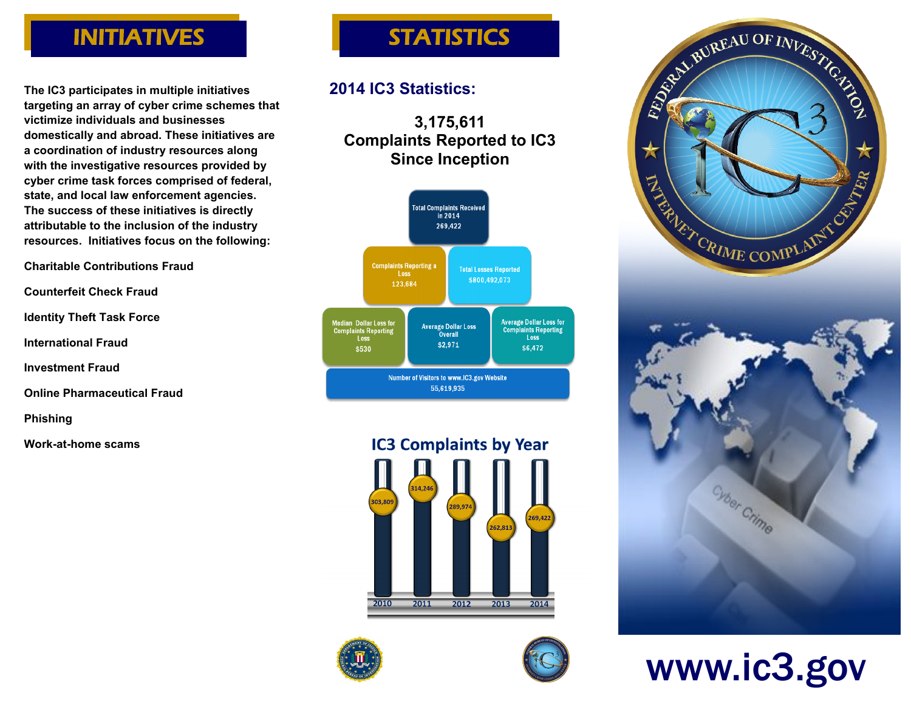# INITIATIVES

**The IC3 participates in multiple initiatives targeting an array of cyber crime schemes that victimize individuals and businesses domestically and abroad. These initiatives are a coordination of industry resources along with the investigative resources provided by cyber crime task forces comprised of federal, state, and local law enforcement agencies. The success of these initiatives is directly attributable to the inclusion of the industry resources. Initiatives focus on the following:**

**Charitable Contributions Fraud** 

```
Counterfeit Check Fraud
```
**Identity Theft Task Force**

**International Fraud**

**Investment Fraud** 

**Online Pharmaceutical Fraud**

**Phishing** 

**Work-at-home scams**

# **STATISTICS**

## **2014 IC3 Statistics:**

**3,175,611 Complaints Reported to IC3 Since Inception**













www.ic3.gov